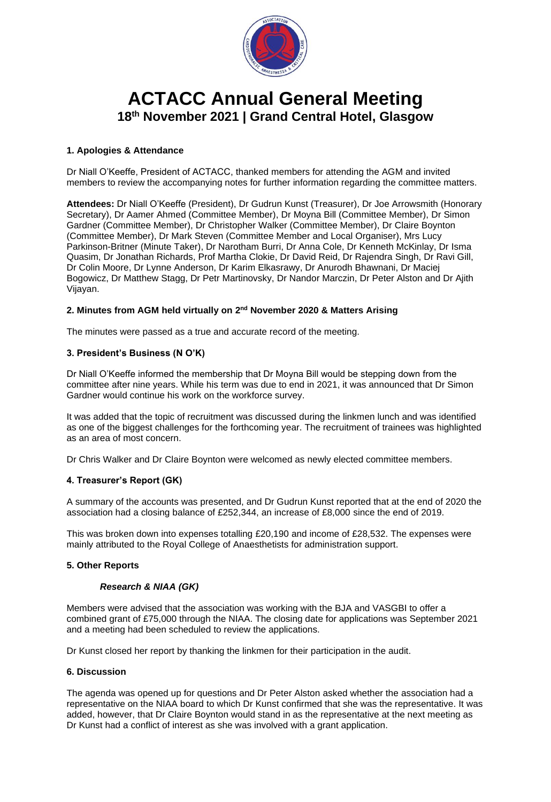

# **ACTACC Annual General Meeting 18th November 2021 | Grand Central Hotel, Glasgow**

# **1. Apologies & Attendance**

Dr Niall O'Keeffe, President of ACTACC, thanked members for attending the AGM and invited members to review the accompanying notes for further information regarding the committee matters.

**Attendees:** Dr Niall O'Keeffe (President), Dr Gudrun Kunst (Treasurer), Dr Joe Arrowsmith (Honorary Secretary), Dr Aamer Ahmed (Committee Member), Dr Moyna Bill (Committee Member), Dr Simon Gardner (Committee Member), Dr Christopher Walker (Committee Member), Dr Claire Boynton (Committee Member), Dr Mark Steven (Committee Member and Local Organiser), Mrs Lucy Parkinson-Britner (Minute Taker), Dr Narotham Burri, Dr Anna Cole, Dr Kenneth McKinlay, Dr Isma Quasim, Dr Jonathan Richards, Prof Martha Clokie, Dr David Reid, Dr Rajendra Singh, Dr Ravi Gill, Dr Colin Moore, Dr Lynne Anderson, Dr Karim Elkasrawy, Dr Anurodh Bhawnani, Dr Maciej Bogowicz, Dr Matthew Stagg, Dr Petr Martinovsky, Dr Nandor Marczin, Dr Peter Alston and Dr Ajith Vijayan.

# 2. Minutes from AGM held virtually on 2<sup>nd</sup> November 2020 & Matters Arising

The minutes were passed as a true and accurate record of the meeting.

## **3. President's Business (N O'K)**

Dr Niall O'Keeffe informed the membership that Dr Moyna Bill would be stepping down from the committee after nine years. While his term was due to end in 2021, it was announced that Dr Simon Gardner would continue his work on the workforce survey.

It was added that the topic of recruitment was discussed during the linkmen lunch and was identified as one of the biggest challenges for the forthcoming year. The recruitment of trainees was highlighted as an area of most concern.

Dr Chris Walker and Dr Claire Boynton were welcomed as newly elected committee members.

# **4. Treasurer's Report (GK)**

A summary of the accounts was presented, and Dr Gudrun Kunst reported that at the end of 2020 the association had a closing balance of £252,344, an increase of £8,000 since the end of 2019.

This was broken down into expenses totalling £20,190 and income of £28,532. The expenses were mainly attributed to the Royal College of Anaesthetists for administration support.

#### **5. Other Reports**

#### *Research & NIAA (GK)*

Members were advised that the association was working with the BJA and VASGBI to offer a combined grant of £75,000 through the NIAA. The closing date for applications was September 2021 and a meeting had been scheduled to review the applications.

Dr Kunst closed her report by thanking the linkmen for their participation in the audit.

#### **6. Discussion**

The agenda was opened up for questions and Dr Peter Alston asked whether the association had a representative on the NIAA board to which Dr Kunst confirmed that she was the representative. It was added, however, that Dr Claire Boynton would stand in as the representative at the next meeting as Dr Kunst had a conflict of interest as she was involved with a grant application.